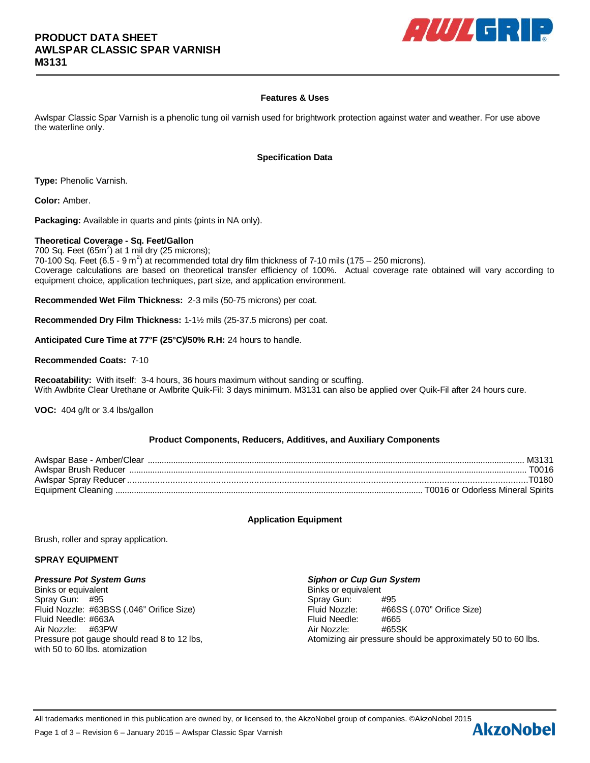

# **Features & Uses**

Awlspar Classic Spar Varnish is a phenolic tung oil varnish used for brightwork protection against water and weather. For use above the waterline only.

#### **Specification Data**

**Type:** Phenolic Varnish.

**Color:** Amber.

**Packaging:** Available in quarts and pints (pints in NA only).

#### **Theoretical Coverage - Sq. Feet/Gallon**

700 Sq. Feet  $(65m^2)$  at 1 mil dry (25 microns); 70-100 Sq. Feet (6.5 - 9 m<sup>2</sup>) at recommended total dry film thickness of 7-10 mils (175 – 250 microns). Coverage calculations are based on theoretical transfer efficiency of 100%. Actual coverage rate obtained will vary according to equipment choice, application techniques, part size, and application environment.

**Recommended Wet Film Thickness:** 2-3 mils (50-75 microns) per coat.

**Recommended Dry Film Thickness:** 1-1½ mils (25-37.5 microns) per coat.

**Anticipated Cure Time at 77°F (25°C)/50% R.H:** 24 hours to handle.

#### **Recommended Coats:** 7-10

**Recoatability:** With itself: 3-4 hours, 36 hours maximum without sanding or scuffing. With Awlbrite Clear Urethane or Awlbrite Quik-Fil: 3 days minimum. M3131 can also be applied over Quik-Fil after 24 hours cure.

**VOC:** 404 g/lt or 3.4 lbs/gallon

# **Product Components, Reducers, Additives, and Auxiliary Components**

| M3131                             |
|-----------------------------------|
| T0016                             |
|                                   |
| T0016 or Odorless Mineral Spirits |

# **Application Equipment**

Brush, roller and spray application.

#### **SPRAY EQUIPMENT**

#### *Pressure Pot System Guns Siphon or Cup Gun System*

Binks or equivalent **Binks** or equivalent Spray Gun: #95 Spray Gun: #95 Fluid Needle: #663A Fluid Needle: #665 Air Nozzle: #63PW Air Nozzle: #65SK with 50 to 60 lbs. atomization

Fluid Nozzle: #63BSS (.046" Orifice Size) Fluid Nozzle: #66SS (.070" Orifice Size) Pressure pot gauge should read 8 to 12 lbs, Atomizing air pressure should be approximately 50 to 60 lbs.

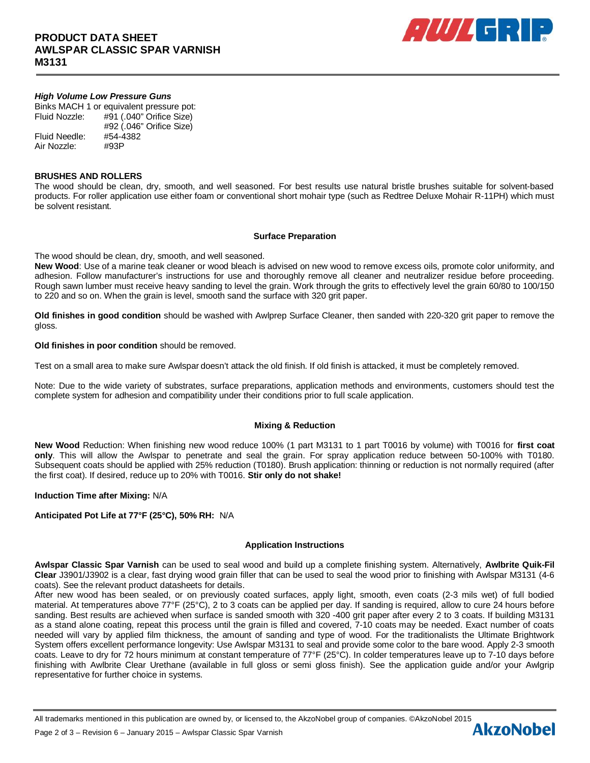

# *High Volume Low Pressure Guns*

Binks MACH 1 or equivalent pressure pot: Fluid Nozzle: #91 (.040" Orifice Size) #92 (.046" Orifice Size) Fluid Needle: #54-4382 Air Nozzle: #93P

#### **BRUSHES AND ROLLERS**

The wood should be clean, dry, smooth, and well seasoned. For best results use natural bristle brushes suitable for solvent-based products. For roller application use either foam or conventional short mohair type (such as Redtree Deluxe Mohair R-11PH) which must be solvent resistant.

#### **Surface Preparation**

The wood should be clean, dry, smooth, and well seasoned.

**New Wood**: Use of a marine teak cleaner or wood bleach is advised on new wood to remove excess oils, promote color uniformity, and adhesion. Follow manufacturer's instructions for use and thoroughly remove all cleaner and neutralizer residue before proceeding. Rough sawn lumber must receive heavy sanding to level the grain. Work through the grits to effectively level the grain 60/80 to 100/150 to 220 and so on. When the grain is level, smooth sand the surface with 320 grit paper.

**Old finishes in good condition** should be washed with Awlprep Surface Cleaner, then sanded with 220-320 grit paper to remove the gloss.

**Old finishes in poor condition** should be removed.

Test on a small area to make sure Awlspar doesn't attack the old finish. If old finish is attacked, it must be completely removed.

Note: Due to the wide variety of substrates, surface preparations, application methods and environments, customers should test the complete system for adhesion and compatibility under their conditions prior to full scale application.

# **Mixing & Reduction**

**New Wood** Reduction: When finishing new wood reduce 100% (1 part M3131 to 1 part T0016 by volume) with T0016 for **first coat only**. This will allow the Awlspar to penetrate and seal the grain. For spray application reduce between 50-100% with T0180. Subsequent coats should be applied with 25% reduction (T0180). Brush application: thinning or reduction is not normally required (after the first coat). If desired, reduce up to 20% with T0016. **Stir only do not shake!**

# **Induction Time after Mixing:** N/A

# **Anticipated Pot Life at 77°F (25°C), 50% RH:** N/A

# **Application Instructions**

**Awlspar Classic Spar Varnish** can be used to seal wood and build up a complete finishing system. Alternatively, **Awlbrite Quik-Fil Clear** J3901/J3902 is a clear, fast drying wood grain filler that can be used to seal the wood prior to finishing with Awlspar M3131 (4-6 coats). See the relevant product datasheets for details.

After new wood has been sealed, or on previously coated surfaces, apply light, smooth, even coats (2-3 mils wet) of full bodied material. At temperatures above 77°F (25°C), 2 to 3 coats can be applied per day. If sanding is required, allow to cure 24 hours before sanding. Best results are achieved when surface is sanded smooth with 320 -400 grit paper after every 2 to 3 coats. If building M3131 as a stand alone coating, repeat this process until the grain is filled and covered, 7-10 coats may be needed. Exact number of coats needed will vary by applied film thickness, the amount of sanding and type of wood. For the traditionalists the Ultimate Brightwork System offers excellent performance longevity: Use Awlspar M3131 to seal and provide some color to the bare wood. Apply 2-3 smooth coats. Leave to dry for 72 hours minimum at constant temperature of 77°F (25°C). In colder temperatures leave up to 7-10 days before finishing with Awlbrite Clear Urethane (available in full gloss or semi gloss finish). See the application guide and/or your Awlgrip representative for further choice in systems.

All trademarks mentioned in this publication are owned by, or licensed to, the AkzoNobel group of companies. ©AkzoNobel 2015<br>Page 2 of 3 – Revision 6 – January 2015 – Awlspar Classic Spar Varnish